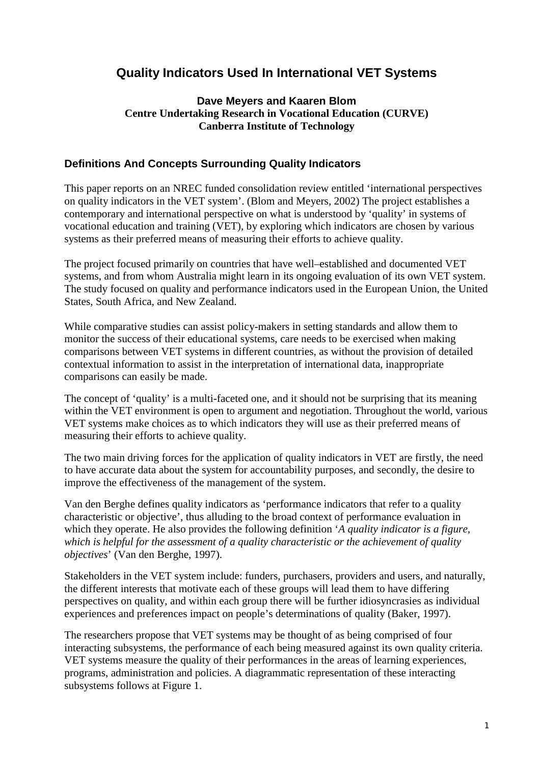# **Quality Indicators Used In International VET Systems**

## **Dave Meyers and Kaaren Blom Centre Undertaking Research in Vocational Education (CURVE) Canberra Institute of Technology**

## **Definitions And Concepts Surrounding Quality Indicators**

This paper reports on an NREC funded consolidation review entitled 'international perspectives on quality indicators in the VET system'. (Blom and Meyers, 2002) The project establishes a contemporary and international perspective on what is understood by 'quality' in systems of vocational education and training (VET), by exploring which indicators are chosen by various systems as their preferred means of measuring their efforts to achieve quality.

The project focused primarily on countries that have well–established and documented VET systems, and from whom Australia might learn in its ongoing evaluation of its own VET system. The study focused on quality and performance indicators used in the European Union, the United States, South Africa, and New Zealand.

While comparative studies can assist policy-makers in setting standards and allow them to monitor the success of their educational systems, care needs to be exercised when making comparisons between VET systems in different countries, as without the provision of detailed contextual information to assist in the interpretation of international data, inappropriate comparisons can easily be made.

The concept of 'quality' is a multi-faceted one, and it should not be surprising that its meaning within the VET environment is open to argument and negotiation. Throughout the world, various VET systems make choices as to which indicators they will use as their preferred means of measuring their efforts to achieve quality.

The two main driving forces for the application of quality indicators in VET are firstly, the need to have accurate data about the system for accountability purposes, and secondly, the desire to improve the effectiveness of the management of the system.

Van den Berghe defines quality indicators as 'performance indicators that refer to a quality characteristic or objective', thus alluding to the broad context of performance evaluation in which they operate. He also provides the following definition '*A quality indicator is a figure, which is helpful for the assessment of a quality characteristic or the achievement of quality objectives*' (Van den Berghe, 1997).

Stakeholders in the VET system include: funders, purchasers, providers and users, and naturally, the different interests that motivate each of these groups will lead them to have differing perspectives on quality, and within each group there will be further idiosyncrasies as individual experiences and preferences impact on people's determinations of quality (Baker, 1997).

The researchers propose that VET systems may be thought of as being comprised of four interacting subsystems, the performance of each being measured against its own quality criteria. VET systems measure the quality of their performances in the areas of learning experiences, programs, administration and policies. A diagrammatic representation of these interacting subsystems follows at Figure 1.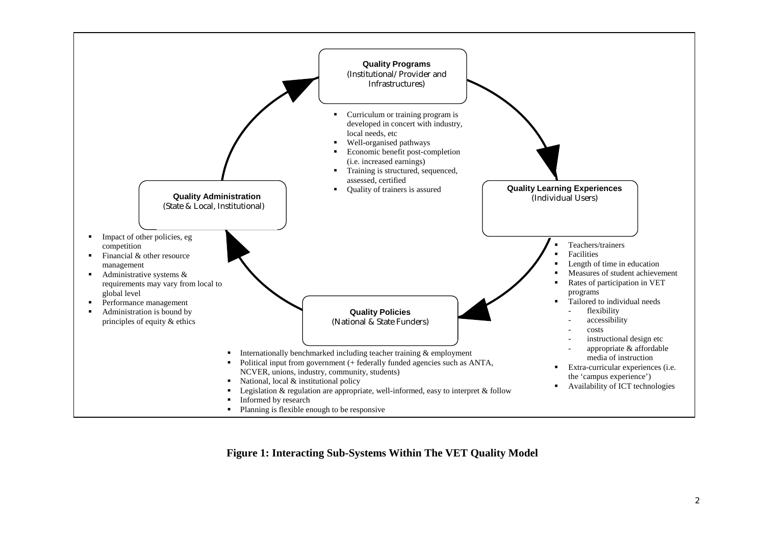

**Figure 1: Interacting Sub-Systems Within The VET Quality Model**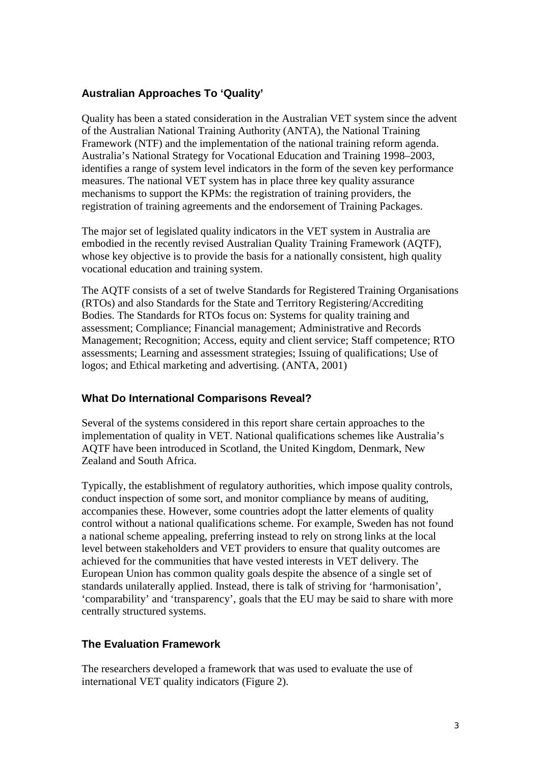# **Australian Approaches To 'Quality'**

Quality has been a stated consideration in the Australian VET system since the advent of the Australian National Training Authority (ANTA), the National Training Framework (NTF) and the implementation of the national training reform agenda. Australia's National Strategy for Vocational Education and Training 1998–2003, identifies a range of system level indicators in the form of the seven key performance measures. The national VET system has in place three key quality assurance mechanisms to support the KPMs: the registration of training providers, the registration of training agreements and the endorsement of Training Packages.

The major set of legislated quality indicators in the VET system in Australia are embodied in the recently revised Australian Quality Training Framework (AQTF), whose key objective is to provide the basis for a nationally consistent, high quality vocational education and training system.

The AQTF consists of a set of twelve Standards for Registered Training Organisations (RTOs) and also Standards for the State and Territory Registering/Accrediting Bodies. The Standards for RTOs focus on: Systems for quality training and assessment; Compliance; Financial management; Administrative and Records Management; Recognition; Access, equity and client service; Staff competence; RTO assessments; Learning and assessment strategies; Issuing of qualifications; Use of logos; and Ethical marketing and advertising. (ANTA, 2001)

# **What Do International Comparisons Reveal?**

Several of the systems considered in this report share certain approaches to the implementation of quality in VET. National qualifications schemes like Australia's AQTF have been introduced in Scotland, the United Kingdom, Denmark, New Zealand and South Africa.

Typically, the establishment of regulatory authorities, which impose quality controls, conduct inspection of some sort, and monitor compliance by means of auditing, accompanies these. However, some countries adopt the latter elements of quality control without a national qualifications scheme. For example, Sweden has not found a national scheme appealing, preferring instead to rely on strong links at the local level between stakeholders and VET providers to ensure that quality outcomes are achieved for the communities that have vested interests in VET delivery. The European Union has common quality goals despite the absence of a single set of standards unilaterally applied. Instead, there is talk of striving for 'harmonisation', 'comparability' and 'transparency', goals that the EU may be said to share with more centrally structured systems.

# **The Evaluation Framework**

The researchers developed a framework that was used to evaluate the use of international VET quality indicators (Figure 2).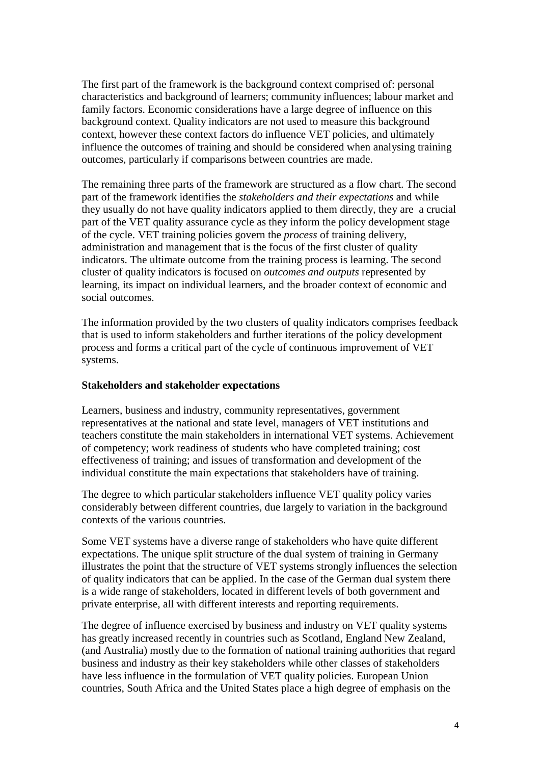The first part of the framework is the background context comprised of: personal characteristics and background of learners; community influences; labour market and family factors. Economic considerations have a large degree of influence on this background context. Quality indicators are not used to measure this background context, however these context factors do influence VET policies, and ultimately influence the outcomes of training and should be considered when analysing training outcomes, particularly if comparisons between countries are made.

The remaining three parts of the framework are structured as a flow chart. The second part of the framework identifies the *stakeholders and their expectations* and while they usually do not have quality indicators applied to them directly, they are a crucial part of the VET quality assurance cycle as they inform the policy development stage of the cycle. VET training policies govern the *process* of training delivery, administration and management that is the focus of the first cluster of quality indicators. The ultimate outcome from the training process is learning. The second cluster of quality indicators is focused on *outcomes and outputs* represented by learning, its impact on individual learners, and the broader context of economic and social outcomes.

The information provided by the two clusters of quality indicators comprises feedback that is used to inform stakeholders and further iterations of the policy development process and forms a critical part of the cycle of continuous improvement of VET systems.

#### **Stakeholders and stakeholder expectations**

Learners, business and industry, community representatives, government representatives at the national and state level, managers of VET institutions and teachers constitute the main stakeholders in international VET systems. Achievement of competency; work readiness of students who have completed training; cost effectiveness of training; and issues of transformation and development of the individual constitute the main expectations that stakeholders have of training.

The degree to which particular stakeholders influence VET quality policy varies considerably between different countries, due largely to variation in the background contexts of the various countries.

Some VET systems have a diverse range of stakeholders who have quite different expectations. The unique split structure of the dual system of training in Germany illustrates the point that the structure of VET systems strongly influences the selection of quality indicators that can be applied. In the case of the German dual system there is a wide range of stakeholders, located in different levels of both government and private enterprise, all with different interests and reporting requirements.

The degree of influence exercised by business and industry on VET quality systems has greatly increased recently in countries such as Scotland, England New Zealand, (and Australia) mostly due to the formation of national training authorities that regard business and industry as their key stakeholders while other classes of stakeholders have less influence in the formulation of VET quality policies. European Union countries, South Africa and the United States place a high degree of emphasis on the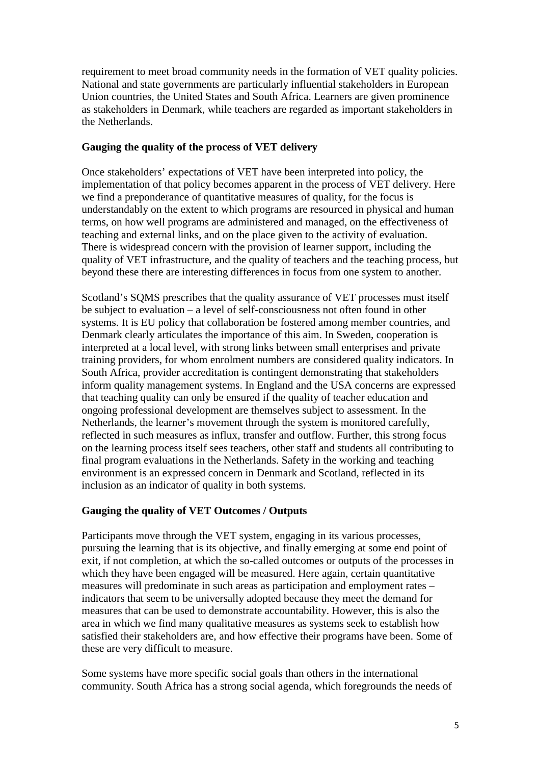requirement to meet broad community needs in the formation of VET quality policies. National and state governments are particularly influential stakeholders in European Union countries, the United States and South Africa. Learners are given prominence as stakeholders in Denmark, while teachers are regarded as important stakeholders in the Netherlands.

#### **Gauging the quality of the process of VET delivery**

Once stakeholders' expectations of VET have been interpreted into policy, the implementation of that policy becomes apparent in the process of VET delivery. Here we find a preponderance of quantitative measures of quality, for the focus is understandably on the extent to which programs are resourced in physical and human terms, on how well programs are administered and managed, on the effectiveness of teaching and external links, and on the place given to the activity of evaluation. There is widespread concern with the provision of learner support, including the quality of VET infrastructure, and the quality of teachers and the teaching process, but beyond these there are interesting differences in focus from one system to another.

Scotland's SQMS prescribes that the quality assurance of VET processes must itself be subject to evaluation – a level of self-consciousness not often found in other systems. It is EU policy that collaboration be fostered among member countries, and Denmark clearly articulates the importance of this aim. In Sweden, cooperation is interpreted at a local level, with strong links between small enterprises and private training providers, for whom enrolment numbers are considered quality indicators. In South Africa, provider accreditation is contingent demonstrating that stakeholders inform quality management systems. In England and the USA concerns are expressed that teaching quality can only be ensured if the quality of teacher education and ongoing professional development are themselves subject to assessment. In the Netherlands, the learner's movement through the system is monitored carefully, reflected in such measures as influx, transfer and outflow. Further, this strong focus on the learning process itself sees teachers, other staff and students all contributing to final program evaluations in the Netherlands. Safety in the working and teaching environment is an expressed concern in Denmark and Scotland, reflected in its inclusion as an indicator of quality in both systems.

## **Gauging the quality of VET Outcomes / Outputs**

Participants move through the VET system, engaging in its various processes, pursuing the learning that is its objective, and finally emerging at some end point of exit, if not completion, at which the so-called outcomes or outputs of the processes in which they have been engaged will be measured. Here again, certain quantitative measures will predominate in such areas as participation and employment rates – indicators that seem to be universally adopted because they meet the demand for measures that can be used to demonstrate accountability. However, this is also the area in which we find many qualitative measures as systems seek to establish how satisfied their stakeholders are, and how effective their programs have been. Some of these are very difficult to measure.

Some systems have more specific social goals than others in the international community. South Africa has a strong social agenda, which foregrounds the needs of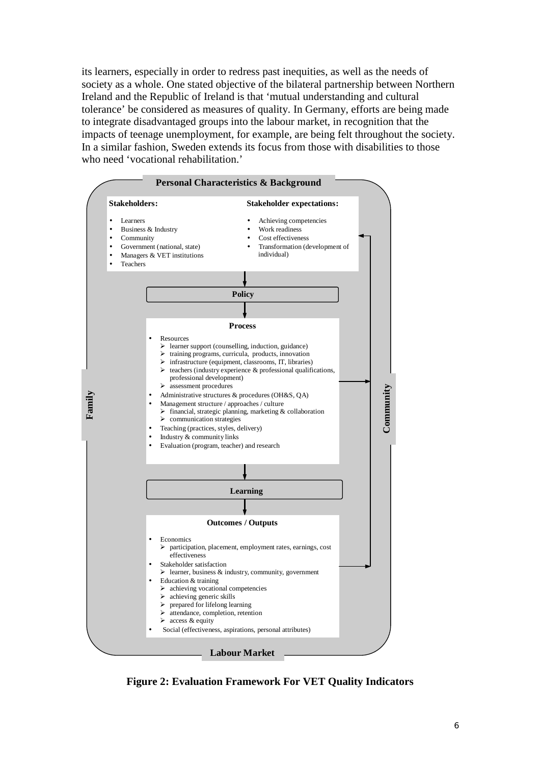its learners, especially in order to redress past inequities, as well as the needs of society as a whole. One stated objective of the bilateral partnership between Northern Ireland and the Republic of Ireland is that 'mutual understanding and cultural tolerance' be considered as measures of quality. In Germany, efforts are being made to integrate disadvantaged groups into the labour market, in recognition that the impacts of teenage unemployment, for example, are being felt throughout the society. In a similar fashion, Sweden extends its focus from those with disabilities to those who need 'vocational rehabilitation.'



**Figure 2: Evaluation Framework For VET Quality Indicators**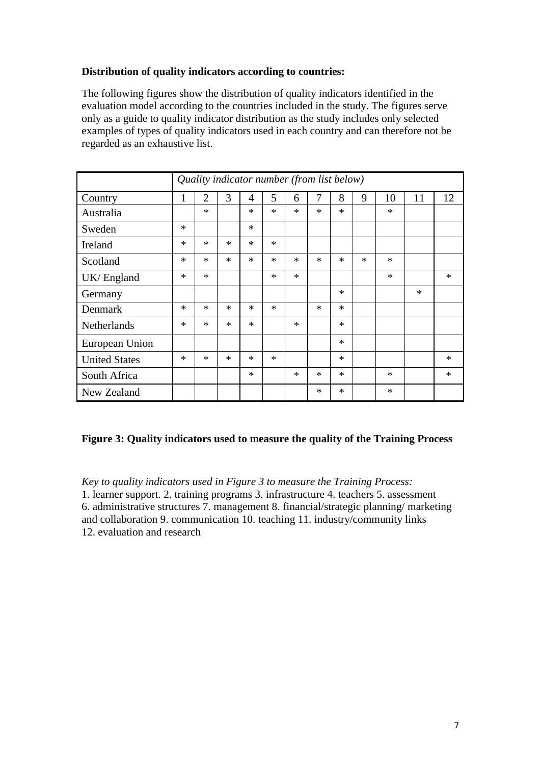# **Distribution of quality indicators according to countries:**

The following figures show the distribution of quality indicators identified in the evaluation model according to the countries included in the study. The figures serve only as a guide to quality indicator distribution as the study includes only selected examples of types of quality indicators used in each country and can therefore not be regarded as an exhaustive list.

|                      | Quality indicator number (from list below) |                |        |        |        |        |        |        |        |        |        |        |
|----------------------|--------------------------------------------|----------------|--------|--------|--------|--------|--------|--------|--------|--------|--------|--------|
| Country              | 1                                          | $\overline{2}$ | 3      | 4      | 5      | 6      | 7      | 8      | 9      | 10     | 11     | 12     |
| Australia            |                                            | $\ast$         |        | $\ast$ | $\ast$ | $\ast$ | $\ast$ | $\ast$ |        | $\ast$ |        |        |
| Sweden               | $\ast$                                     |                |        | ∗      |        |        |        |        |        |        |        |        |
| Ireland              | $\ast$                                     | $\ast$         | $\ast$ | $\ast$ | $\ast$ |        |        |        |        |        |        |        |
| Scotland             | $\ast$                                     | $\ast$         | $\ast$ | $\ast$ | $\ast$ | $\ast$ | $\ast$ | $\ast$ | $\ast$ | $\ast$ |        |        |
| UK/England           | $\ast$                                     | $\ast$         |        |        | $\ast$ | $\ast$ |        |        |        | $\ast$ |        | $\ast$ |
| Germany              |                                            |                |        |        |        |        |        | $\ast$ |        |        | $\ast$ |        |
| Denmark              | $\ast$                                     | $\ast$         | $\ast$ | $\ast$ | $\ast$ |        | $\ast$ | $\ast$ |        |        |        |        |
| <b>Netherlands</b>   | $\ast$                                     | $\ast$         | $\ast$ | $\ast$ |        | $\ast$ |        | $\ast$ |        |        |        |        |
| European Union       |                                            |                |        |        |        |        |        | $\ast$ |        |        |        |        |
| <b>United States</b> | $\ast$                                     | $\ast$         | $\ast$ | $\ast$ | $\ast$ |        |        | $\ast$ |        |        |        | $\ast$ |
| South Africa         |                                            |                |        | $\ast$ |        | $\ast$ | $\ast$ | $\ast$ |        | $\ast$ |        | $\ast$ |
| New Zealand          |                                            |                |        |        |        |        | $\ast$ | $\ast$ |        | $\ast$ |        |        |

# **Figure 3: Quality indicators used to measure the quality of the Training Process**

*Key to quality indicators used in Figure 3 to measure the Training Process:*  1. learner support. 2. training programs 3. infrastructure 4. teachers 5. assessment 6. administrative structures 7. management 8. financial/strategic planning/ marketing and collaboration 9. communication 10. teaching 11. industry/community links 12. evaluation and research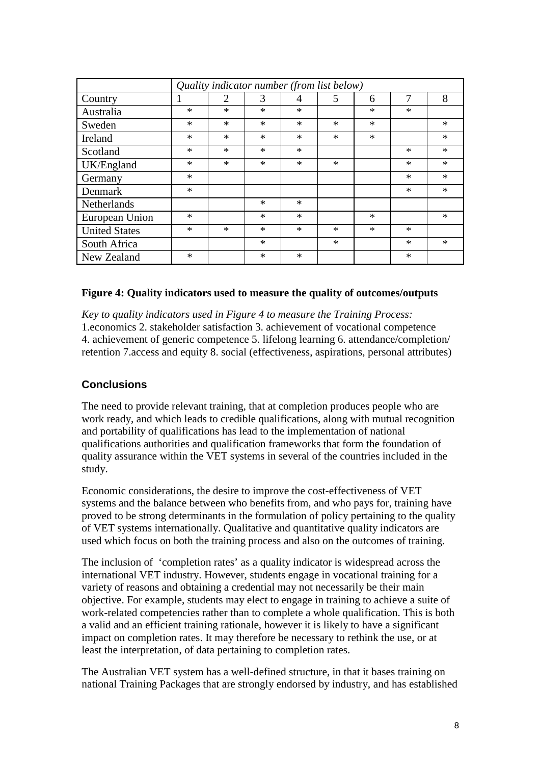| Quality indicator number (from list below) |        |                |        |        |        |        |        |        |  |  |  |
|--------------------------------------------|--------|----------------|--------|--------|--------|--------|--------|--------|--|--|--|
| Country                                    |        | $\overline{2}$ | 3      | 4      | 5      | 6      | 7      | 8      |  |  |  |
| Australia                                  | $\ast$ | $\ast$         | $\ast$ | $\ast$ |        | $\ast$ | $\ast$ |        |  |  |  |
| Sweden                                     | $\ast$ | $\ast$         | $\ast$ | $\ast$ | $\ast$ | $\ast$ |        | $\ast$ |  |  |  |
| Ireland                                    | $\ast$ | $\ast$         | $\ast$ | $\ast$ | $\ast$ | $\ast$ |        | $\ast$ |  |  |  |
| Scotland                                   | $\ast$ | $\ast$         | $\ast$ | $\ast$ |        |        | $\ast$ | $\ast$ |  |  |  |
| UK/England                                 | $\ast$ | $\ast$         | $\ast$ | $\ast$ | $\ast$ |        | $\ast$ | $\ast$ |  |  |  |
| Germany                                    | $\ast$ |                |        |        |        |        | $\ast$ | $\ast$ |  |  |  |
| Denmark                                    | $\ast$ |                |        |        |        |        | $\ast$ | $\ast$ |  |  |  |
| Netherlands                                |        |                | $\ast$ | $\ast$ |        |        |        |        |  |  |  |
| European Union                             | $\ast$ |                | $\ast$ | $\ast$ |        | $\ast$ |        | $\ast$ |  |  |  |
| <b>United States</b>                       | $\ast$ | $\ast$         | $\ast$ | $\ast$ | ∗      | $\ast$ | ∗      |        |  |  |  |
| South Africa                               |        |                | $\ast$ |        | $\ast$ |        | $\ast$ | $\ast$ |  |  |  |
| New Zealand                                | $\ast$ |                | $\ast$ | $\ast$ |        |        | $\ast$ |        |  |  |  |

#### **Figure 4: Quality indicators used to measure the quality of outcomes/outputs**

*Key to quality indicators used in Figure 4 to measure the Training Process:*  1.economics 2. stakeholder satisfaction 3. achievement of vocational competence 4. achievement of generic competence 5. lifelong learning 6. attendance/completion/ retention 7.access and equity 8. social (effectiveness, aspirations, personal attributes)

## **Conclusions**

The need to provide relevant training, that at completion produces people who are work ready, and which leads to credible qualifications, along with mutual recognition and portability of qualifications has lead to the implementation of national qualifications authorities and qualification frameworks that form the foundation of quality assurance within the VET systems in several of the countries included in the study.

Economic considerations, the desire to improve the cost-effectiveness of VET systems and the balance between who benefits from, and who pays for, training have proved to be strong determinants in the formulation of policy pertaining to the quality of VET systems internationally. Qualitative and quantitative quality indicators are used which focus on both the training process and also on the outcomes of training.

The inclusion of 'completion rates' as a quality indicator is widespread across the international VET industry. However, students engage in vocational training for a variety of reasons and obtaining a credential may not necessarily be their main objective. For example, students may elect to engage in training to achieve a suite of work-related competencies rather than to complete a whole qualification. This is both a valid and an efficient training rationale, however it is likely to have a significant impact on completion rates. It may therefore be necessary to rethink the use, or at least the interpretation, of data pertaining to completion rates.

The Australian VET system has a well-defined structure, in that it bases training on national Training Packages that are strongly endorsed by industry, and has established